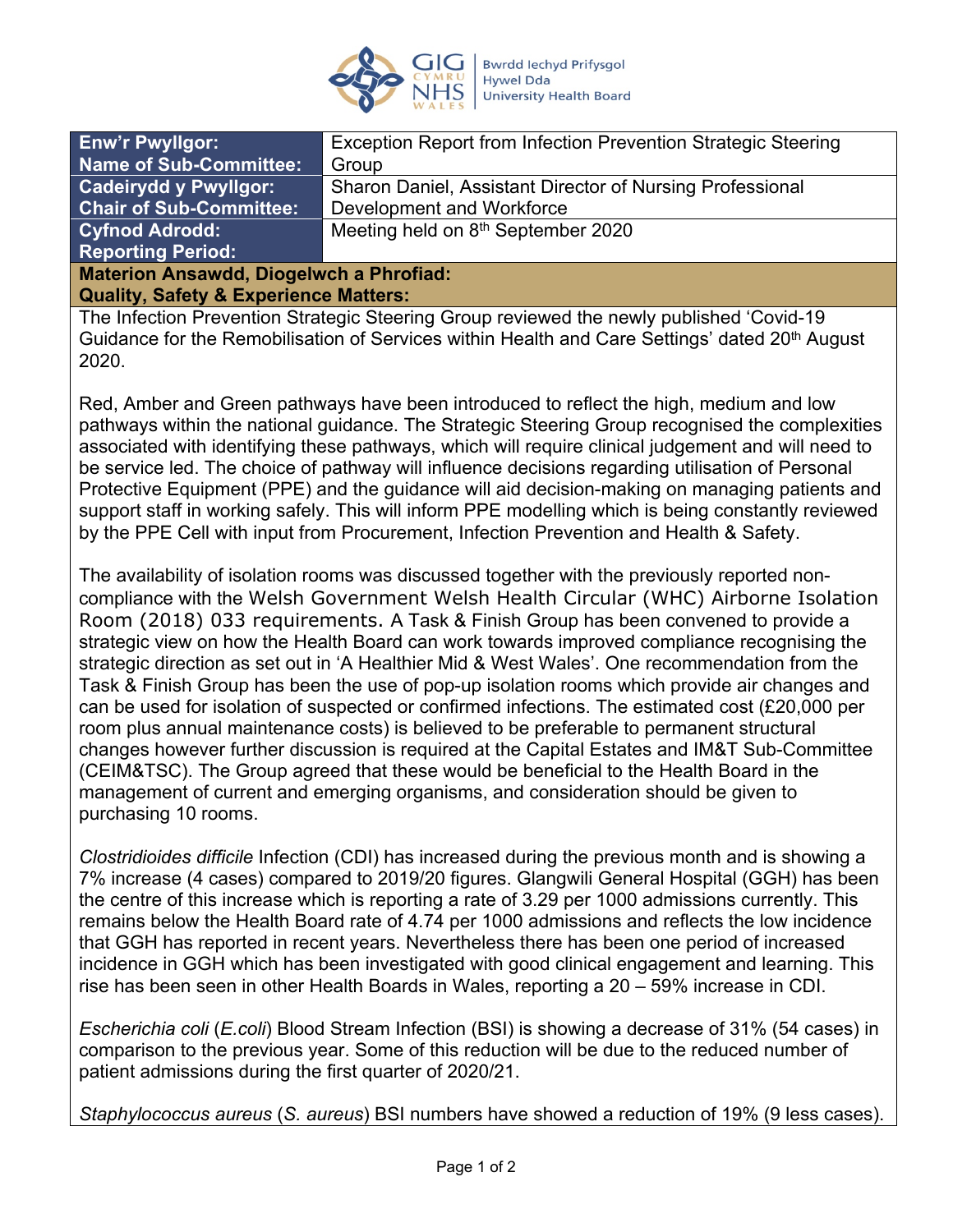

| <b>Enw'r Pwyllgor:</b>                         | Exception Report from Infection Prevention Strategic Steering |
|------------------------------------------------|---------------------------------------------------------------|
| <b>Name of Sub-Committee:</b>                  | Group                                                         |
| <b>Cadeirydd y Pwyllgor:</b>                   | Sharon Daniel, Assistant Director of Nursing Professional     |
| <b>Chair of Sub-Committee:</b>                 | Development and Workforce                                     |
| <b>Cyfnod Adrodd:</b>                          | Meeting held on 8 <sup>th</sup> September 2020                |
| <b>Reporting Period:</b>                       |                                                               |
| <b>Materion Ansawdd, Diogelwch a Phrofiad:</b> |                                                               |

**Quality, Safety & Experience Matters:**

The Infection Prevention Strategic Steering Group reviewed the newly published 'Covid-19 Guidance for the Remobilisation of Services within Health and Care Settings' dated 20<sup>th</sup> August 2020.

Red, Amber and Green pathways have been introduced to reflect the high, medium and low pathways within the national guidance. The Strategic Steering Group recognised the complexities associated with identifying these pathways, which will require clinical judgement and will need to be service led. The choice of pathway will influence decisions regarding utilisation of Personal Protective Equipment (PPE) and the guidance will aid decision-making on managing patients and support staff in working safely. This will inform PPE modelling which is being constantly reviewed by the PPE Cell with input from Procurement, Infection Prevention and Health & Safety.

The availability of isolation rooms was discussed together with the previously reported noncompliance with the Welsh Government Welsh Health Circular (WHC) Airborne Isolation Room (2018) 033 requirements. A Task & Finish Group has been convened to provide a strategic view on how the Health Board can work towards improved compliance recognising the strategic direction as set out in 'A Healthier Mid & West Wales'. One recommendation from the Task & Finish Group has been the use of pop-up isolation rooms which provide air changes and can be used for isolation of suspected or confirmed infections. The estimated cost (£20,000 per room plus annual maintenance costs) is believed to be preferable to permanent structural changes however further discussion is required at the Capital Estates and IM&T Sub-Committee (CEIM&TSC). The Group agreed that these would be beneficial to the Health Board in the management of current and emerging organisms, and consideration should be given to purchasing 10 rooms.

*Clostridioides difficile* Infection (CDI) has increased during the previous month and is showing a 7% increase (4 cases) compared to 2019/20 figures. Glangwili General Hospital (GGH) has been the centre of this increase which is reporting a rate of 3.29 per 1000 admissions currently. This remains below the Health Board rate of 4.74 per 1000 admissions and reflects the low incidence that GGH has reported in recent years. Nevertheless there has been one period of increased incidence in GGH which has been investigated with good clinical engagement and learning. This rise has been seen in other Health Boards in Wales, reporting a 20 – 59% increase in CDI.

*Escherichia coli* (*E.coli*) Blood Stream Infection (BSI) is showing a decrease of 31% (54 cases) in comparison to the previous year. Some of this reduction will be due to the reduced number of patient admissions during the first quarter of 2020/21.

*Staphylococcus aureus* (*S. aureus*) BSI numbers have showed a reduction of 19% (9 less cases).